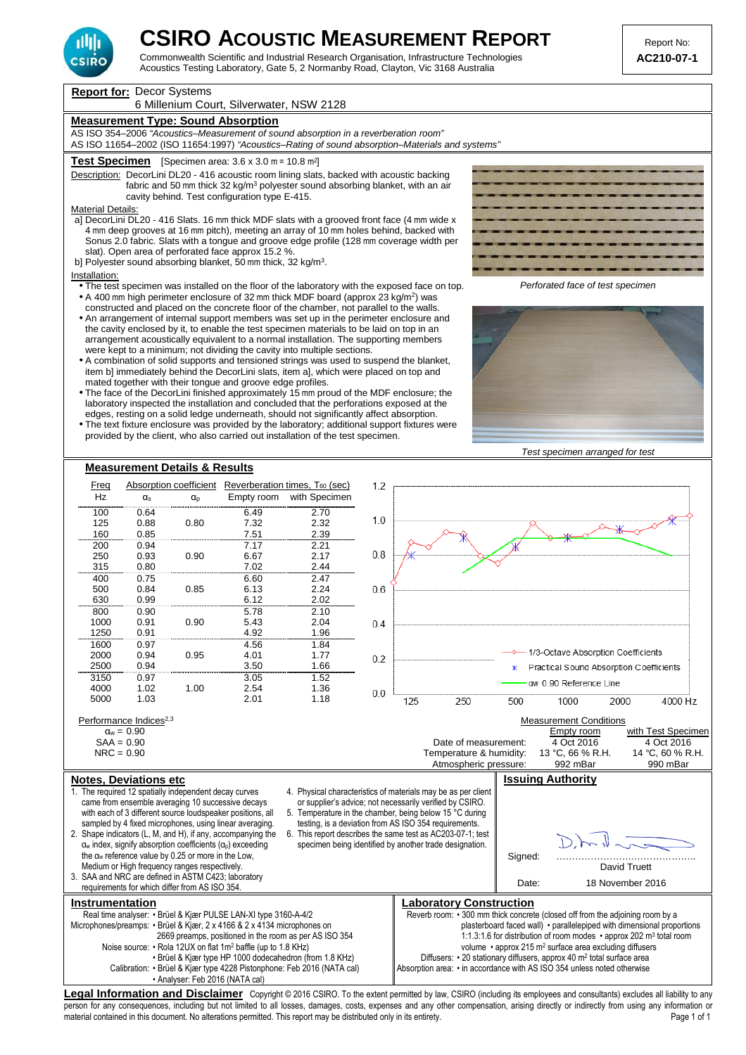

Commonwealth Scientific and Industrial Research Organisation, Infrastructure Technologies **AC210-07-1**  Acoustics Testing Laboratory, Gate 5, 2 Normanby Road, Clayton, Vic 3168 Australia

**Report for:** Decor Systems

## 6 Millenium Court, Silverwater, NSW 2128

## **Measurement Type: Sound Absorption**

AS ISO 354–2006 "Acoustics–Measurement of sound absorption in a reverberation room" AS ISO 11654–2002 (ISO 11654:1997) "Acoustics–Rating of sound absorption–Materials and systems"

### **Test Specimen** [Specimen area: 3.6 x 3.0 m = 10.8 m<sup>2</sup> ]

Description: DecorLini DL20 - 416 acoustic room lining slats, backed with acoustic backing fabric and 50 mm thick 32 kg/m<sup>3</sup> polyester sound absorbing blanket, with an air cavity behind. Test configuration type E-415.

Material Details:

a] DecorLini DL20 - 416 Slats. 16 mm thick MDF slats with a grooved front face (4 mm wide x 4 mm deep grooves at 16 mm pitch), meeting an array of 10 mm holes behind, backed with Sonus 2.0 fabric. Slats with a tongue and groove edge profile (128 mm coverage width per slat). Open area of perforated face approx 15.2 %.

b] Polyester sound absorbing blanket, 50 mm thick, 32 kg/m<sup>3</sup>.

#### Installation:

- The test specimen was installed on the floor of the laboratory with the exposed face on top.  $\bullet$  A 400 mm high perimeter enclosure of 32 mm thick MDF board (approx 23 kg/m<sup>2</sup>) was
- constructed and placed on the concrete floor of the chamber, not parallel to the walls. • An arrangement of internal support members was set up in the perimeter enclosure and the cavity enclosed by it, to enable the test specimen materials to be laid on top in an arrangement acoustically equivalent to a normal installation. The supporting members were kept to a minimum; not dividing the cavity into multiple sections.
- A combination of solid supports and tensioned strings was used to suspend the blanket, item b] immediately behind the DecorLini slats, item a], which were placed on top and mated together with their tongue and groove edge profiles.
- The face of the DecorLini finished approximately 15 mm proud of the MDF enclosure; the laboratory inspected the installation and concluded that the perforations exposed at the edges, resting on a solid ledge underneath, should not significantly affect absorption.
- The text fixture enclosure was provided by the laboratory; additional support fixtures were provided by the client, who also carried out installation of the test specimen.



Perforated face of test specimen



Test specimen arranged for test



person for any consequences, including but not limited to all losses, damages, costs, expenses and any other compensation, arising directly or indirectly from using any information or material contained in this document. No alterations permitted. This report may be distributed only in its entirety.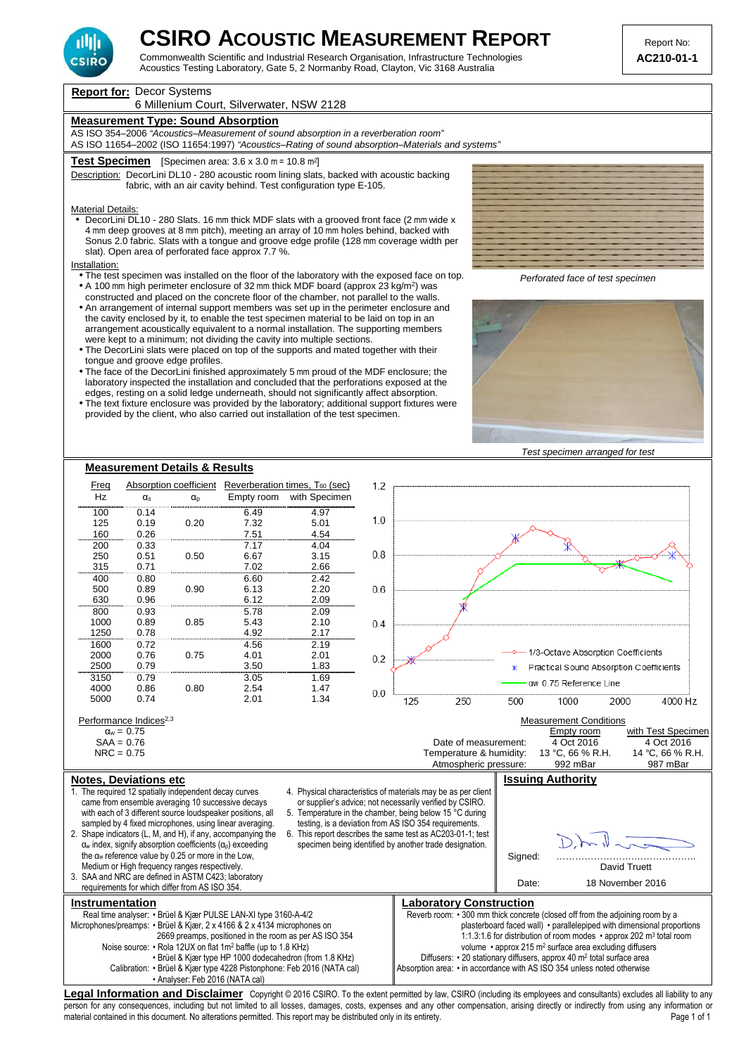

Commonwealth Scientific and Industrial Research Organisation, Infrastructure Technologies **AC210-01-1**  Acoustics Testing Laboratory, Gate 5, 2 Normanby Road, Clayton, Vic 3168 Australia

**Report for:** Decor Systems

## 6 Millenium Court, Silverwater, NSW 2128

## **Measurement Type: Sound Absorption**

AS ISO 354–2006 "Acoustics–Measurement of sound absorption in a reverberation room" AS ISO 11654–2002 (ISO 11654:1997) "Acoustics–Rating of sound absorption–Materials and systems"

### **Test Specimen** [Specimen area: 3.6 x 3.0 m = 10.8 m<sup>2</sup> ]

Description: DecorLini DL10 - 280 acoustic room lining slats, backed with acoustic backing fabric, with an air cavity behind. Test configuration type E-105.

## Material Details:

• DecorLini DL10 - 280 Slats. 16 mm thick MDF slats with a grooved front face (2 mm wide x 4 mm deep grooves at 8 mm pitch), meeting an array of 10 mm holes behind, backed with Sonus 2.0 fabric. Slats with a tongue and groove edge profile (128 mm coverage width per slat). Open area of perforated face approx 7.7 %.

#### Installation:

- The test specimen was installed on the floor of the laboratory with the exposed face on top. • A 100 mm high perimeter enclosure of 32 mm thick MDF board (approx 23 kg/m<sup>2</sup>) was
- constructed and placed on the concrete floor of the chamber, not parallel to the walls.
- An arrangement of internal support members was set up in the perimeter enclosure and the cavity enclosed by it, to enable the test specimen material to be laid on top in an arrangement acoustically equivalent to a normal installation. The supporting members were kept to a minimum; not dividing the cavity into multiple sections.
- The DecorLini slats were placed on top of the supports and mated together with their tongue and groove edge profiles.
- The face of the DecorLini finished approximately 5 mm proud of the MDF enclosure; the laboratory inspected the installation and concluded that the perforations exposed at the edges, resting on a solid ledge underneath, should not significantly affect absorption.
- The text fixture enclosure was provided by the laboratory; additional support fixtures were provided by the client, who also carried out installation of the test specimen.



Perforated face of test specimen



Test specimen arranged for test



person for any consequences, including but not limited to all losses, damages, costs, expenses and any other compensation, arising directly or indirectly from using any information or material contained in this document. No alterations permitted. This report may be distributed only in its entirety.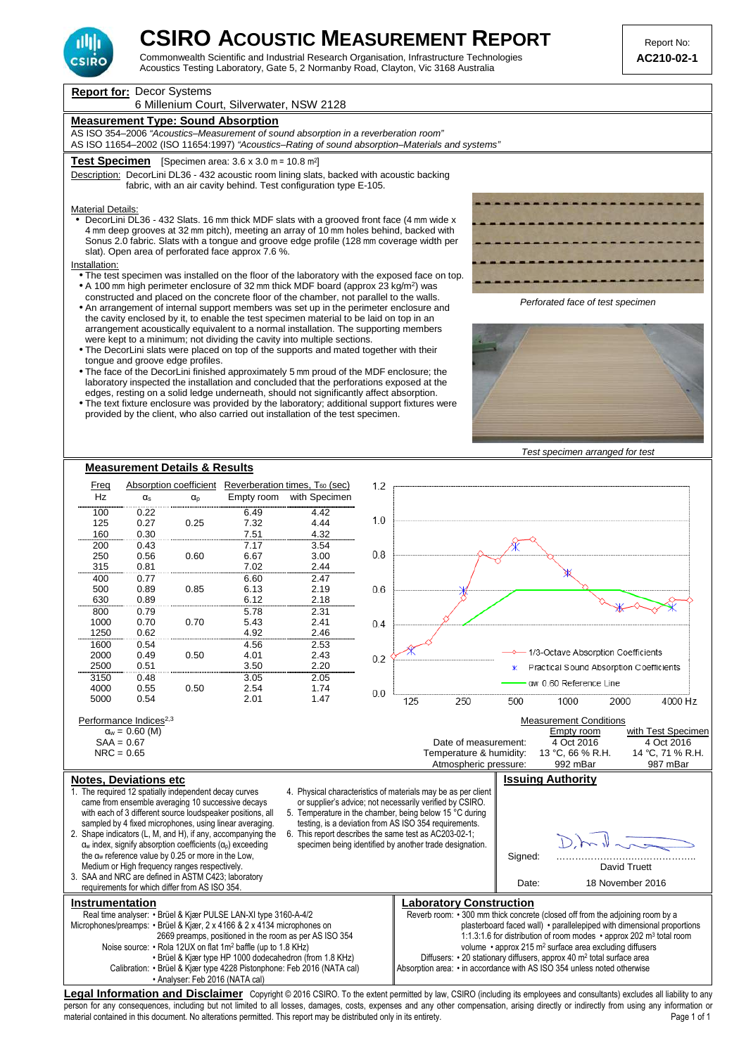

Commonwealth Scientific and Industrial Research Organisation, Infrastructure Technologies **AC210-02-1**  Acoustics Testing Laboratory, Gate 5, 2 Normanby Road, Clayton, Vic 3168 Australia

**Report for:** Decor Systems 6 Millenium Court, Silverwater, NSW 2128 **Measurement Type: Sound Absorption** AS ISO 354–2006 "Acoustics–Measurement of sound absorption in a reverberation room" AS ISO 11654–2002 (ISO 11654:1997) "Acoustics–Rating of sound absorption–Materials and systems" **Test Specimen** [Specimen area: 3.6 x 3.0 m = 10.8 m<sup>2</sup> ] Description: DecorLini DL36 - 432 acoustic room lining slats, backed with acoustic backing fabric, with an air cavity behind. Test configuration type E-105. Material Details: • DecorLini DL36 - 432 Slats. 16 mm thick MDF slats with a grooved front face (4 mm wide x 4 mm deep grooves at 32 mm pitch), meeting an array of 10 mm holes behind, backed with Sonus 2.0 fabric. Slats with a tongue and groove edge profile (128 mm coverage width per slat). Open area of perforated face approx 7.6 %. Installation: • The test specimen was installed on the floor of the laboratory with the exposed face on top. • A 100 mm high perimeter enclosure of 32 mm thick MDF board (approx 23 kg/m<sup>2</sup>) was constructed and placed on the concrete floor of the chamber, not parallel to the walls. Perforated face of test specimen • An arrangement of internal support members was set up in the perimeter enclosure and the cavity enclosed by it, to enable the test specimen material to be laid on top in an arrangement acoustically equivalent to a normal installation. The supporting members were kept to a minimum; not dividing the cavity into multiple sections. • The DecorLini slats were placed on top of the supports and mated together with their tongue and groove edge profiles. • The face of the DecorLini finished approximately 5 mm proud of the MDF enclosure; the laboratory inspected the installation and concluded that the perforations exposed at the edges, resting on a solid ledge underneath, should not significantly affect absorption. • The text fixture enclosure was provided by the laboratory; additional support fixtures were provided by the client, who also carried out installation of the test specimen. Test specimen arranged for test **Measurement Details & Results** Freq Absorption coefficient Reverberation times,  $T_{60}$  (sec)  $12$ Hz  $\alpha_s$   $\alpha_p$  Empty room with Specimen 100 0.22 6.49 4.42  $1<sub>0</sub>$  125 0.27 0.25 7.32 4.44 160 0.30 7.51 4.32 200 0.43 7.17 3.54  $08$  250 0.56 0.60 6.67 3.00 315 0.81 7.02 2.44 400 0.77 6.60 2.47  $06$  500 0.89 0.85 6.13 2.19 630 0.89 6.12 2.18 800 0.79 5.78 2.31  $0<sub>4</sub>$  1000 0.70 0.70 5.43 2.41 1250 0.62 4.92 2.46 1600 0.54 4.56 2.53 1/3-Octave Absorption Coefficients 2000 0.49 0.50 4.01 2.43  $0.2$ Practical Sound Absorption Coefficients 2500 0.51 3.50 2.20 3150 0.48 3.05 2.05 aw 0.60 Reference Line 4000 0.55 0.50 2.54 1.74  $0<sub>0</sub>$ 125 250 500 1000 2000 4000 Hz 5000 0.54 2.01 1.47 Performance Indices<sup>2,3</sup><br> $\alpha_w = 0.60$  (M) Measurement Conditions<br>Empty room  $\alpha_w = 0.60$  (M)  $\alpha_w = 0.60$  (M)  $\alpha_w = 0.60$  (M)  $\alpha_w = 0.60$  (M)  $\alpha_w = 0.60$  (M)  $\alpha_w = 0.60$  (M)  $\alpha_w = 0.60$  (M)  $\alpha_w = 0.60$  (M)  $\alpha_w = 0.60$  (M)  $\alpha_w = 0.60$  (M)  $\alpha_w = 0.60$  (M)  $\alpha_w = 0.60$  (M)  $\alpha_w = 0.60$  (M)  $\alpha_w = 0.60$  (  $SAA = 0.67$ <br>  $NRC = 0.65$ <br>  $NRC = 0.65$ <br>  $S/A = 0.65$ <br>  $S/A = 0.65$ <br>  $T$   $T$   $S$   $R$ .  $T$   $T$   $S$   $R$ .  $T$ Temperature & humidity: 13 °C, 66 % R.H. 14 °C, 71 % R.<br>Atmospheric pressure: 992 mBar 987 mBar Atmospheric pressure: **Notes, Deviations etc Issuing Authority** 1. The required 12 spatially independent decay curves 4. Physical characteristics of materials may be as per client came from ensemble averaging 10 successive decays or supplier's advice; not necessarily verified by CSIRO. with each of 3 different source loudspeaker positions, all 5. Temperature in the chamber, being below 15 °C during sampled by 4 fixed microphones, using linear averaging. testing, is a deviation from AS ISO 354 requirements. 2. Shape indicators (L, M, and H), if any, accompanying the 6. This report describes the same test as AC203-02-1;  $\alpha_w$  index, signify absorption coefficients  $(\alpha_o)$  exceeding specimen being identified by another trade designation. the αw reference value by 0.25 or more in the Low, Signed: Medium or High frequency ranges respectively. David Truett 3. SAA and NRC are defined in ASTM C423; laboratory Date: 18 November 2016 requirements for which differ from AS ISO 354. **Instrumentation Laboratory Construction Laboratory Construction** Real time analyser: • Brüel & Kjær PULSE LAN-XI type 3160-A-4/2 Reverb room: • 300 mm thick concrete (closed off from the adjoining room by a plasterboard faced wall) • parallelepiped with dimensional proportions Microphones/preamps: • Brüel & Kjær, 2 x 4166 & 2 x 4134 microphones on 2669 preamps, positioned in the room as per AS ISO 354 1:1.3:1.6 for distribution of room modes • approx 202 m<sup>3</sup> total room Noise source: • Rola 12UX on flat 1m<sup>2</sup> baffle (up to 1.8 KHz) volume • approx 215 m<sup>2</sup> surface area excluding diffusers • Brüel & Kjær type HP 1000 dodecahedron (from 1.8 KHz) Diffusers: • 20 stationary diffusers, approx 40 m<sup>2</sup> total surface area Calibration: • Brüel & Kjær type 4228 Pistonphone: Feb 2016 (NATA cal) Absorption area: • in accordance with AS ISO 354 unless noted otherwise • Analyser: Feb 2016 (NATA cal)

Legal Information and Disclaimer Copyright © 2016 CSIRO. To the extent permitted by law, CSIRO (including its employees and consultants) excludes all liability to any person for any consequences, including but not limited to all losses, damages, costs, expenses and any other compensation, arising directly or indirectly from using any information or material contained in this document. No alterations permitted. This report may be distributed only in its entirety.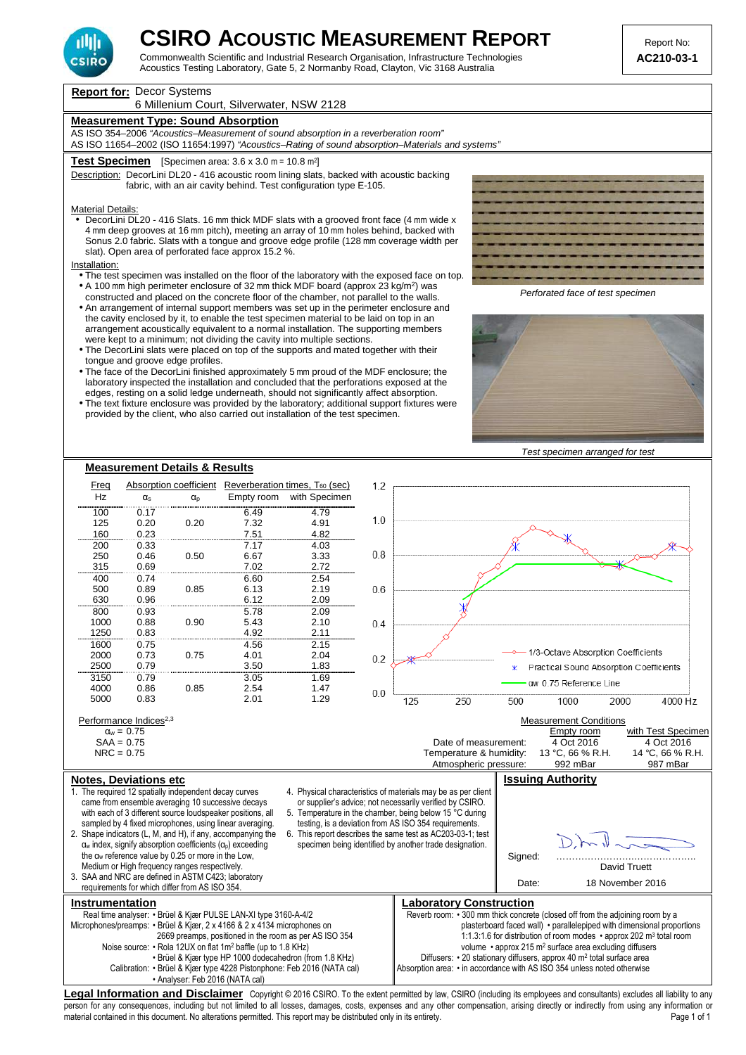

Commonwealth Scientific and Industrial Research Organisation, Infrastructure Technologies **AC210-03-1**  Acoustics Testing Laboratory, Gate 5, 2 Normanby Road, Clayton, Vic 3168 Australia

**Report for:** Decor Systems

## 6 Millenium Court, Silverwater, NSW 2128

## **Measurement Type: Sound Absorption**

AS ISO 354–2006 "Acoustics–Measurement of sound absorption in a reverberation room" AS ISO 11654–2002 (ISO 11654:1997) "Acoustics–Rating of sound absorption–Materials and systems"

## **Test Specimen** [Specimen area: 3.6 x 3.0 m = 10.8 m<sup>2</sup> ]

Description: DecorLini DL20 - 416 acoustic room lining slats, backed with acoustic backing fabric, with an air cavity behind. Test configuration type E-105.

## Material Details:

• DecorLini DL20 - 416 Slats. 16 mm thick MDF slats with a grooved front face (4 mm wide x 4 mm deep grooves at 16 mm pitch), meeting an array of 10 mm holes behind, backed with Sonus 2.0 fabric. Slats with a tongue and groove edge profile (128 mm coverage width per slat). Open area of perforated face approx 15.2 %.

#### Installation:

- The test specimen was installed on the floor of the laboratory with the exposed face on top. • A 100 mm high perimeter enclosure of 32 mm thick MDF board (approx 23 kg/m<sup>2</sup>) was
- constructed and placed on the concrete floor of the chamber, not parallel to the walls.
- An arrangement of internal support members was set up in the perimeter enclosure and the cavity enclosed by it, to enable the test specimen material to be laid on top in an arrangement acoustically equivalent to a normal installation. The supporting members were kept to a minimum; not dividing the cavity into multiple sections.
- The DecorLini slats were placed on top of the supports and mated together with their tongue and groove edge profiles.
- The face of the DecorLini finished approximately 5 mm proud of the MDF enclosure; the laboratory inspected the installation and concluded that the perforations exposed at the edges, resting on a solid ledge underneath, should not significantly affect absorption.
- The text fixture enclosure was provided by the laboratory; additional support fixtures were provided by the client, who also carried out installation of the test specimen.



Perforated face of test specimen



Test specimen arranged for test



person for any consequences, including but not limited to all losses, damages, costs, expenses and any other compensation, arising directly or indirectly from using any information or material contained in this document. No alterations permitted. This report may be distributed only in its entirety.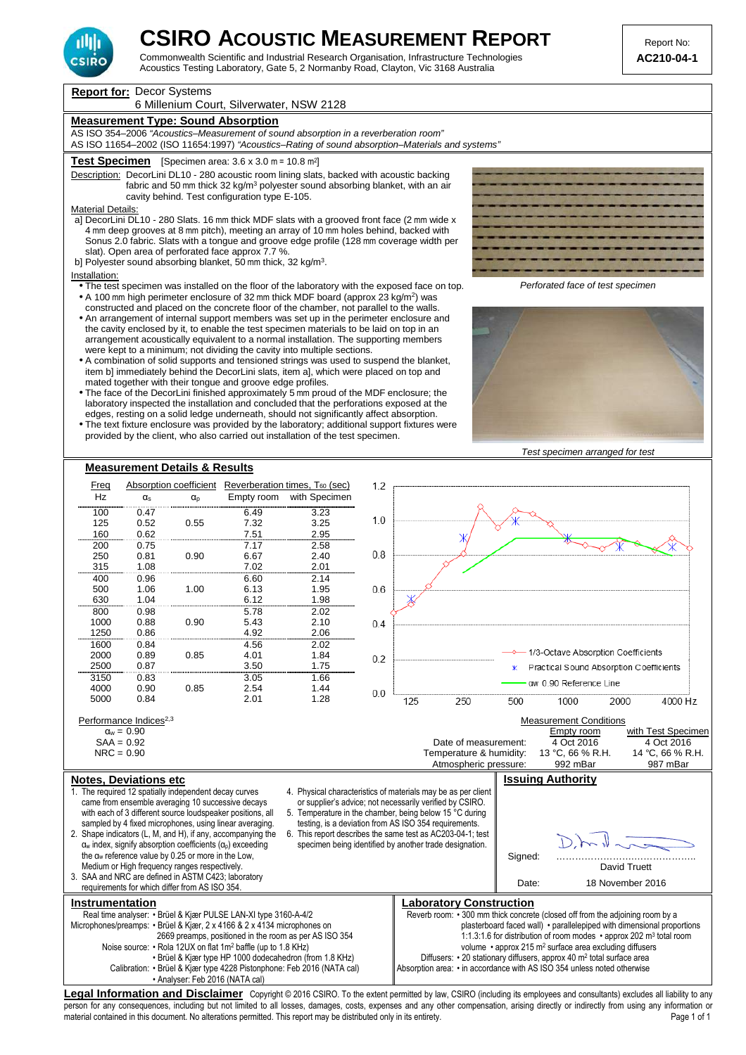

Commonwealth Scientific and Industrial Research Organisation, Infrastructure Technologies **AC210-04-1**  Acoustics Testing Laboratory, Gate 5, 2 Normanby Road, Clayton, Vic 3168 Australia

**Report for:** Decor Systems

## 6 Millenium Court, Silverwater, NSW 2128

## **Measurement Type: Sound Absorption**

AS ISO 354–2006 "Acoustics–Measurement of sound absorption in a reverberation room" AS ISO 11654–2002 (ISO 11654:1997) "Acoustics–Rating of sound absorption–Materials and systems"

### **Test Specimen** [Specimen area: 3.6 x 3.0 m = 10.8 m<sup>2</sup> ]

Description: DecorLini DL10 - 280 acoustic room lining slats, backed with acoustic backing fabric and 50 mm thick 32 kg/m<sup>3</sup> polyester sound absorbing blanket, with an air cavity behind. Test configuration type E-105.

Material Details:

- a] DecorLini DL10 280 Slats. 16 mm thick MDF slats with a grooved front face (2 mm wide x 4 mm deep grooves at 8 mm pitch), meeting an array of 10 mm holes behind, backed with Sonus 2.0 fabric. Slats with a tongue and groove edge profile (128 mm coverage width per slat). Open area of perforated face approx 7.7 %.
- b] Polyester sound absorbing blanket, 50 mm thick, 32 kg/m<sup>3</sup>.

#### Installation:

- The test specimen was installed on the floor of the laboratory with the exposed face on top.  $\bullet$  A 100 mm high perimeter enclosure of 32 mm thick MDF board (approx 23 kg/m<sup>2</sup>) was
- constructed and placed on the concrete floor of the chamber, not parallel to the walls. • An arrangement of internal support members was set up in the perimeter enclosure and the cavity enclosed by it, to enable the test specimen materials to be laid on top in an arrangement acoustically equivalent to a normal installation. The supporting members were kept to a minimum; not dividing the cavity into multiple sections.
- A combination of solid supports and tensioned strings was used to suspend the blanket, item b] immediately behind the DecorLini slats, item a], which were placed on top and mated together with their tongue and groove edge profiles.
- The face of the DecorLini finished approximately 5 mm proud of the MDF enclosure; the laboratory inspected the installation and concluded that the perforations exposed at the edges, resting on a solid ledge underneath, should not significantly affect absorption.
- The text fixture enclosure was provided by the laboratory; additional support fixtures were provided by the client, who also carried out installation of the test specimen.



Perforated face of test specimen



Test specimen arranged for test



person for any consequences, including but not limited to all losses, damages, costs, expenses and any other compensation, arising directly or indirectly from using any information or material contained in this document. No alterations permitted. This report may be distributed only in its entirety.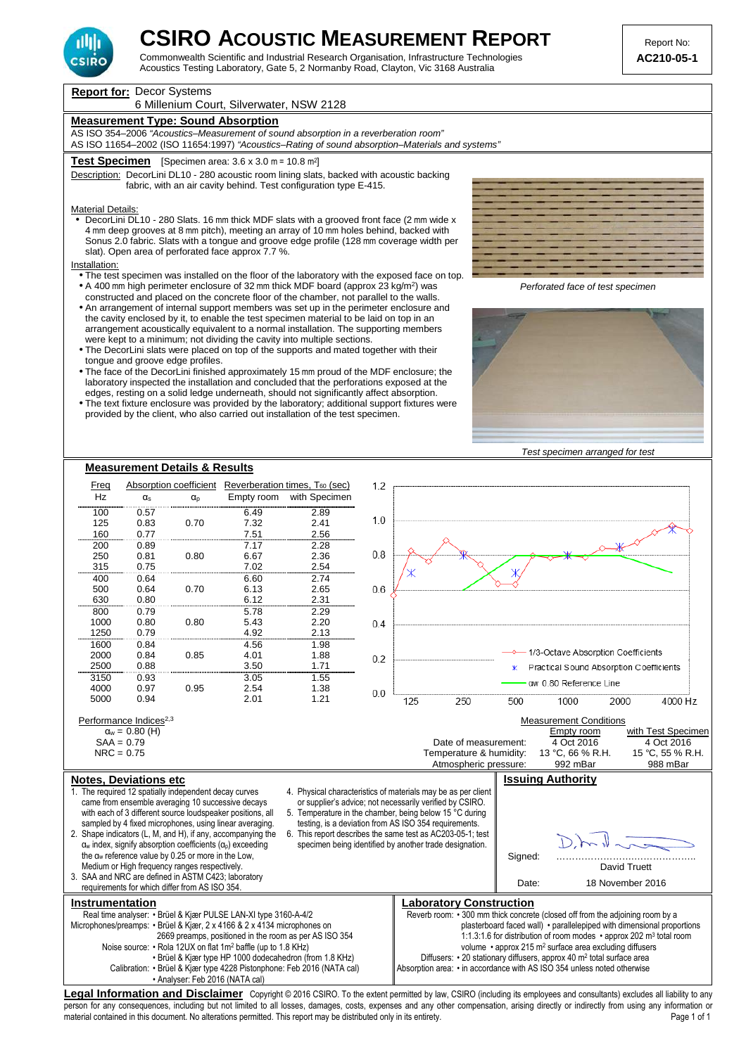

Commonwealth Scientific and Industrial Research Organisation, Infrastructure Technologies **AC210-05-1**  Acoustics Testing Laboratory, Gate 5, 2 Normanby Road, Clayton, Vic 3168 Australia

**Report for:** Decor Systems

6 Millenium Court, Silverwater, NSW 2128

## **Measurement Type: Sound Absorption**

AS ISO 354–2006 "Acoustics–Measurement of sound absorption in a reverberation room" AS ISO 11654–2002 (ISO 11654:1997) "Acoustics–Rating of sound absorption–Materials and systems"

### **Test Specimen** [Specimen area: 3.6 x 3.0 m = 10.8 m<sup>2</sup> ]

Description: DecorLini DL10 - 280 acoustic room lining slats, backed with acoustic backing fabric, with an air cavity behind. Test configuration type E-415.

## Material Details:

• DecorLini DL10 - 280 Slats. 16 mm thick MDF slats with a grooved front face (2 mm wide x 4 mm deep grooves at 8 mm pitch), meeting an array of 10 mm holes behind, backed with Sonus 2.0 fabric. Slats with a tongue and groove edge profile (128 mm coverage width per slat). Open area of perforated face approx 7.7 %.

#### Installation:

- The test specimen was installed on the floor of the laboratory with the exposed face on top. • A 400 mm high perimeter enclosure of 32 mm thick MDF board (approx 23 kg/m<sup>2</sup>) was
- constructed and placed on the concrete floor of the chamber, not parallel to the walls.
- An arrangement of internal support members was set up in the perimeter enclosure and the cavity enclosed by it, to enable the test specimen material to be laid on top in an arrangement acoustically equivalent to a normal installation. The supporting members were kept to a minimum; not dividing the cavity into multiple sections.
- The DecorLini slats were placed on top of the supports and mated together with their tongue and groove edge profiles.
- The face of the DecorLini finished approximately 15 mm proud of the MDF enclosure; the laboratory inspected the installation and concluded that the perforations exposed at the edges, resting on a solid ledge underneath, should not significantly affect absorption.
- The text fixture enclosure was provided by the laboratory; additional support fixtures were provided by the client, who also carried out installation of the test specimen.



Perforated face of test specimen







material contained in this document. No alterations permitted. This report may be distributed only in its entirety.